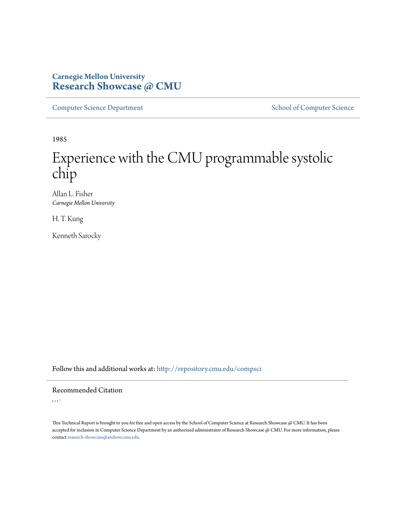# **Carnegie Mellon University [Research Showcase @ CMU](http://repository.cmu.edu?utm_source=repository.cmu.edu%2Fcompsci%2F1560&utm_medium=PDF&utm_campaign=PDFCoverPages)**

[Computer Science Department](http://repository.cmu.edu/compsci?utm_source=repository.cmu.edu%2Fcompsci%2F1560&utm_medium=PDF&utm_campaign=PDFCoverPages) [School of Computer Science](http://repository.cmu.edu/scs?utm_source=repository.cmu.edu%2Fcompsci%2F1560&utm_medium=PDF&utm_campaign=PDFCoverPages)

1985

# Experience with the CMU programmable systolic chip

Allan L. Fisher *Carnegie Mellon University*

H. T. Kung

Kenneth Sarocky

Follow this and additional works at: [http://repository.cmu.edu/compsci](http://repository.cmu.edu/compsci?utm_source=repository.cmu.edu%2Fcompsci%2F1560&utm_medium=PDF&utm_campaign=PDFCoverPages)

### Recommended Citation

, , , -

This Technical Report is brought to you for free and open access by the School of Computer Science at Research Showcase @ CMU. It has been accepted for inclusion in Computer Science Department by an authorized administrator of Research Showcase @ CMU. For more information, please contact [research-showcase@andrew.cmu.edu](mailto:research-showcase@andrew.cmu.edu).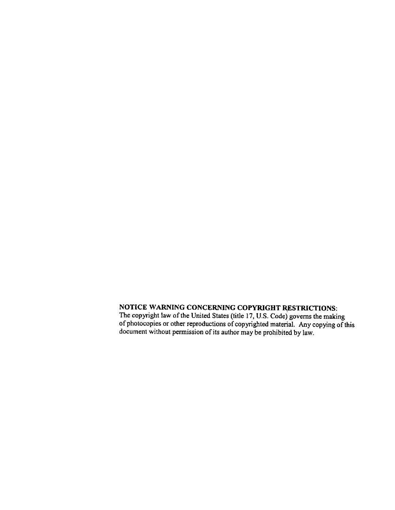# NOTICE WARNING CONCERNING COPYRIGHT RESTRICTIONS:

The copyright law of the United States (title 17, U.S. Code) governs the making of photocopies or other reproductions of copyrighted material. Any copying of this document without permission of its author may be prohibited by law.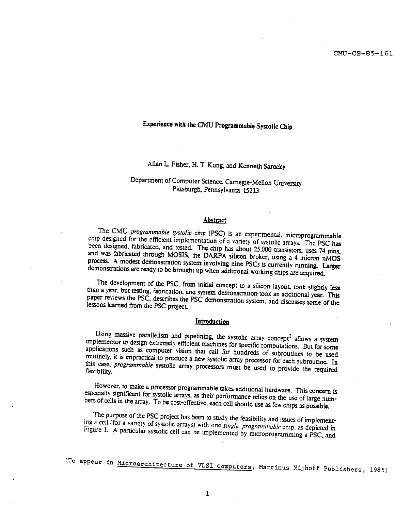# Experience with the CMU Programmable Systolic Chip

# Allan L. Fisher, H. T. Kung, and Kenneth Sarocky

# Department of Computer Science, Carnegie-Mellon University Pittsburgh, Pennsylvania 15213

#### **Abstract**

The CMU *programmable systolic chip* (PSC) is an experimental microprogrammable chip designed for the efficient implementation of a variety of systolic arrays. The PSC has been designed, fabricated, and tested. The chip has about 25,000 transistors, uses 74 pins, and was fabricated through MOSIS, the DARPA silicon broker, using a 4 micron nMOS process. A modest demonstration system involving nine PSCs is currently running. Larger demonstrations are ready to be brought up when additional working chips are acquired.

The development of the PSC, from initial concept to a silicon layout, took slightly less than a year, but testing, fabrication, and system demonstration-took an additional year. This paper reviews the PSC, describes the PSC demonstration system, and discusses some of the lessons learned from the PSC project

#### Introduction

 $U_{\text{SUS}}$  massive parallelism and pipelining, the systolic array concept<sup>1</sup> allows a system impiementor to design extremely efficient machines for specific compulations. But for some applications such as computer vision that call for hundreds of subroutines to be used routinely, it is impractical to produce a new systolic array processor for each subroutine. In this case, *programmable* systolic array processors must be used to provide the required flexibility.

However, to make a processor programmable takes additional hardware. This concern is especially significant for systolic arrays, as their performance relies on the use of large numbers of cells in the array. To be cost-effective, each cell should use as few chips as possible.

The purpose of the PSC project has been to study the feasibility and issues of implementing a cell (for a variety of systolic arrays) with one *single, programmable* chip, as depicted in Figure 1. A particular systolic cell can be implemented by microprogramming a PSC, and

1. The an <u>incroarchitecture of VLSI Computers</u>, Martinus Nijhoff Publishers, 1985)

1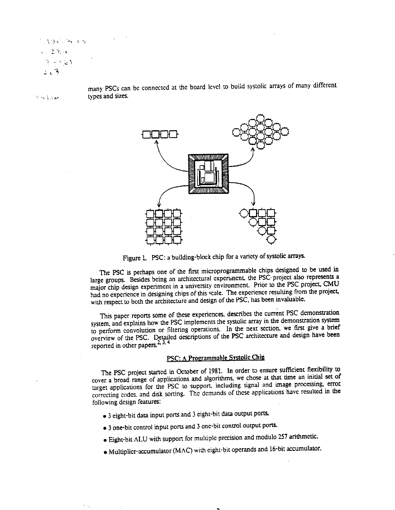$3.3.7.72 \times 1.4$  $2\tau$  $5 - 12$  $\therefore$  3

 $5 - 100$ 

many PSCs can be connected at the board level to build systolic arrays of many different types and sizes.



Figure 1. PSC: a building-block chip for a variety of systolic arrays.

The PSC is perhaps one of the first microprogrammable chips designed to be used in large groups. Besides being an architectural experiment, the PSC- project also represents a major chip design experiment in a university environment. Prior to the PSC project, CMU had no experience in designing chips of this scale. The experience resulting from the project, with respect to both the architecture and design of the PSC, has been invaluable.

This paper reports some of these experiences, describes the current PSC demonstration system, and explains how the PSC implements the systolic array in the demonstration system to perform convolution or filtering operations. In the next section, we first give a brief overview of the PSC. Detailed descriptions of the PSC architecture and design have been reported in other papers.<sup>43,3</sup>

### **PSC: A Programmable Systolic Chip**

The PSC project started in October of 1981. In order to ensure sufficient flexibility to cover a broad range of applications and algorithms, we chose at that time an initial set of target applications for the PSC to support, including signal and image processing, error correcting codes, and disk sorting. The demands of these applications have resulted in the following design features:

- 3 eight-bit data input ports and 3 eight-bit data output ports.
- 3 one-bit control input ports and 3 one-bit control output ports.
- Eight-bit ALU with support for multiple precision and modulo 257 arithmetic.
- Multiplier-accumulator (MAC) with eight-bit operands and 16-bit accumulator.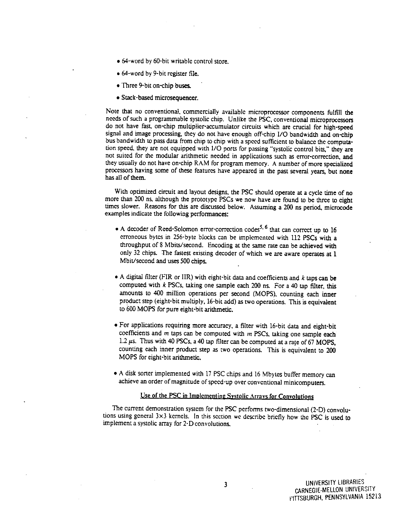- 64-word by 60-bit writable control store.
- 64-word by 9-bit register file.
- Three 9-bit on-chip buses.
- Stack-based microsequencer.

Note that no conventional, commercially available microprocessor components fulfill the needs of such a programmable systolic chip. Unlike the PSC, conventional microprocessors do not have fast, on-chip multiplier-accumulator circuits which are crucial for high-speed signal and image processing, they do not have enough off-chip I/O bandwidth and on-chip bus bandwidth to pass data from chip to chip with a speed sufficient to balance the computation speed, they are not equipped with I/O ports for passing "systolic control bits," they are not suited for the modular arithmetic needed in applications such as error-correction, and they usually do not have on-chip RAM for program memory. A number of more specialized processors having some of these features have appeared in the past several years, but none has all of them.

With optimized circuit and layout designs, the PSC should operate at a cycle time of no more than 200 ns, although the prototype PSCs we now have are found to be three to eight times slower. Reasons for this are discussed below. Assuming a 200 ns period, microcode examples indicate the following performances:

- A decoder of Reed-Solomon error-correction codes<sup>5, 6</sup> that can correct up to 16 erroneous bytes in 256-byte blocks can be implemented with 112 PSCs with a throughput of 8 Mbits/second. Encoding at the same rate can be achieved with only 32 chips. The fastest existing decoder of which we are aware operates at 1 Mbit/second and uses 500 chips.
- A digital filter (FIR or IIR) with eight-bit data and coefficients and *k* taps can be computed with *k* PSCs, taking one sample each 200 ns. For a 40 tap filter, this amounts to 400 million operations per second (MOPS), counting each inner product step (eight-bit multiply, 16-bit add) as two operations. This is equivalent to 600 MOPS for pure eight-bit arithmetic.
- For applications requiring more accuracy, a filter with 16-bit data and eight-bit coefficients and *m* taps can be computed with *m* PSCs, taking one sample each 1.2  $\mu$ s. Thus with 40 PSCs, a 40 tap filter can be computed at a rate of 67 MOPS, counting each inner product step as two operations. This is equivalent to 200 MOPS for eight-bit arithmetic.
- A disk sorter implemented with 17 PSC chips and 16 Mbytes buffer memory can achieve an order of magnitude of speed-up over conventional minicomputers.

### **Use of the PSC in Implementing Systolic Arrays for Convolutions**

The current demonstration system for the PSC performs two-dimensional (2-D) convolutions using general 3x3 kernels. In this section wc describe briefly how the PSC is used to implement a systolic array for 2-D convolutions.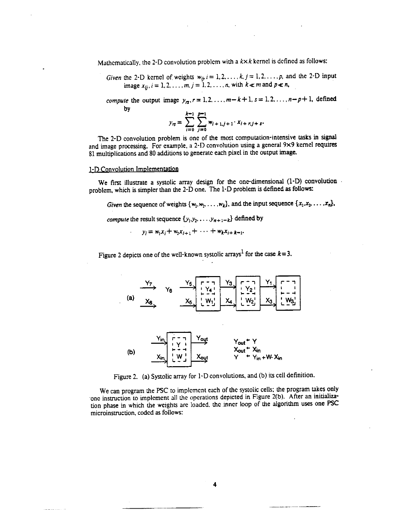Mathematically, the 2-D convolution problem with a  $k \times k$  kernel is defined as follows:

*Given* the 2-D kernel of weights  $w_{ij}$   $i=1,2,\ldots,k$ ,  $j=1,2,\ldots,p$ , and the 2-D input image  $x_{ij}$ ,  $i = 1, 2, \ldots, m, j = 1, 2, \ldots, n$ , with  $k \ll m$  and  $p \ll n$ ,

*compute* the output image  $y_{\tau_0}, r = 1, 2, ..., m-k+1, s = 1, 2, ..., n-p+1$ , defined by

$$
y_{r5} = \sum_{i=0}^{k-1} \sum_{j=0}^{p-1} w_{i+1,j+1} \cdot x_{i+r,j+s}.
$$

The 2-D convolution problem is one of the most computation-intensive tasks in signal and image processing. For example, a 2-D convolution using a general 9x9 kernel requires 81 multiplications and 80 additions to generate each pixel in the output image.

#### 1-D Convolution Implementation

We first illustrate a systolic array design for the one-dimensional (1-D) convolution • problem, which is simpler than the 2-D one. The 1-D problem is defined as follows:

*Given* the sequence of weights  $\{w_1, w_2, \ldots, w_k\}$ , and the input sequence  $\{x_1, x_2, \ldots, x_n\}$ ,

*compute* the result sequence  $\{y_1, y_2, \ldots, y_{n+1-k}\}\$  defined by

 $y_i = w_i x_i + w_2 x_{i+1} + \cdots + w_k x_{i+k-1}$ 

Figure 2 depicts one of the well-known systolic arrays<sup>1</sup> for the case  $k=3$ .



Figure 2. (a) Systolic array for 1-D convolutions, and (b) its cell definition.

We can program the PSC to implement each of the systolic cells; the program takes only one instruction to implement all the operations depicted in Figure 2(b). After an initialization phase in which the weights are loaded, the inner loop of the algorithm uses One PSC microinstruction, coded as follows: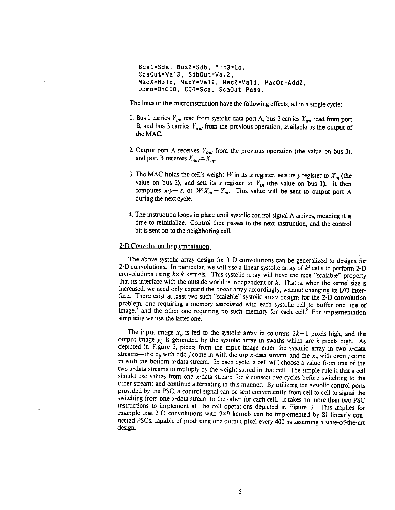Bus1=Sda, Bus2=Sdb, Pen3=Lo, SdaOut=Val3, SdbOut=Va.2, MacX=Hold, MacY=Val2, MacZ=Vall, MacOp**=AddZ,**  Jump=OnCC0, CCO=Sca, ScaOut=Pass.

The lines of this microinstruction have the following effects, all in a single cycle:

- 1. Bus 1 carries *Yin,* read from systolic data port A, bus 2 carries *Xim* read from port B, and bus 3 carries *Yout* from the previous operation, available as the output of the MAC.
- 2. Output port A receives *Yout* from the previous operation (the value on bus 3), and port B receives  $X_{out} = X_{in}$
- 3. The MAC holds the cell's weight *W* in its *x* register, sets its *y* register to *Xin* (the value on bus 2), and sets its z register to  $Y_{in}$  (the value on bus 1). It then computes  $x \cdot y + z$ , or  $W \cdot X_{in} + Y_{in}$ . This value will be sent to output port A during the next cycle.
- 4. The instruction loops in place until systolic control signal A arrives, meaning it is time to reinitialize. Control then passes to the next instruction, and the control bit is sent on to the neighboring cell.

#### 2-D Convolution Implementation

The above systolic array design for 1-D convolutions can be generalized to designs for 2-D convolutions. In particular, we will use a linear systolic array of  $k^2$  cells to perform 2-D convolutions using *kxk* kernels. This systolic array will have the nice "scalable" property that its interface with the outside world is independent of *k.* That is, when the kernel size is increased, we need only expand the linear array accordingly, without changing its I/O interface. There exist at least two such "scalable" systoiic array designs for the 2-D convolution problem, one requiring a memory associated with each systolic cell to buffer one line of image, and the other one requiring no such memory for each cell. For implementation simplicity we use the latter one.

The input image  $x_{ij}$  is fed to the systolic array in columns  $2k-1$  pixels high, and the output image *yg* is generated by the systolic array in swaths which are *k* pixels high. As depicted in Figure 3, pixels from the input image enter the systolic array in two x-data streams—the  $x_{ij}$  with odd *j* come in with the top x-data stream, and the  $x_{ij}$  with even *j* come in with the bottom x-data stream. In each cycle, a cell will choose a value from one of the two x-data streams to multiply by the weight stored in that cell. The simple rule is that a cell should use values from one *x-data* stream for *k* consecutive cycles before switching to the other stream; and continue alternating in this manner. By utilizing the systolic control ports provided by the PSC, a control signal can be sent conveniently from cell to cell to signal the switching from one x-data stream to the other for each cell. It takes no more than two PSC instructions to implement all the cell operations depicted in Figure 3. This implies for example that 2-D convolutions with 9x9 kernels can be implemented by 81 linearly connected PSCs, capable of producing one output pixel every 400 ns assuming a state-of-the-art design.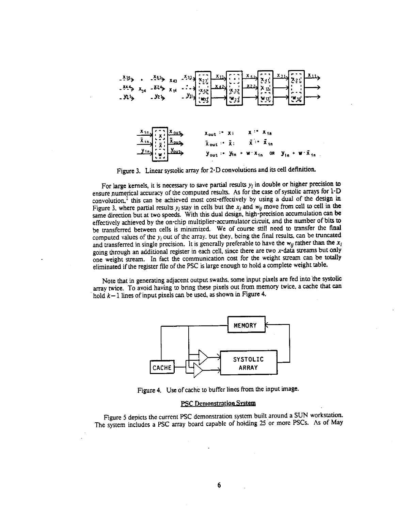

Figure 3. Linear systolic array for 2-D convolutions and its cell definition.

For large kernels, it is necessary to save partial results  $y_i$  in double or higher precision to ensure numerical accuracy of the computed results. As for the case of systolic arrays for 1-D convolution,  $1$  this can be achieved most cost-effectively by using a dual of the design in Figure 3, where partial results  $y_i$  stay in cells but the  $x_i$  and  $w_{ij}$  move from cell to cell in the same direction but at two speeds. With this dual design, high-precision accumulation can be effectively achieved by the on-chip multiplier-accumulator circuit, and the number of bits to be transferred between cells is minimized. We of course still need to transfer the final computed values of the y<sub>*i*</sub> out of the array, but they, being the final results, can be truncated and transferred in single precision. It is generally preferable to have the  $w_{ij}$  rather than the  $x_i$ going through an additional register in each cell, since there are two  $x$ -data streams but only one weight stream. In fact the communication cost for the weight stream can be totally eliminated if the register file of the PSC is large enough to hold a complete weight table.

Note that in generating adjacent output swaths, some input pixels are fed into the systolic array twice. To avoid having to bring these pixels out from memory twice, a cache that can hold  $k-1$  lines of input pixels can be used, as shown in Figure 4.



Figure 4. Use of cache to buffer lines from the input image.

#### PSC Demonstration System

Figure 5 depicts the current PSC demonstration system built around a SUN workstation. The system includes a PSC array board capable of holding 25 or more PSCs. As of May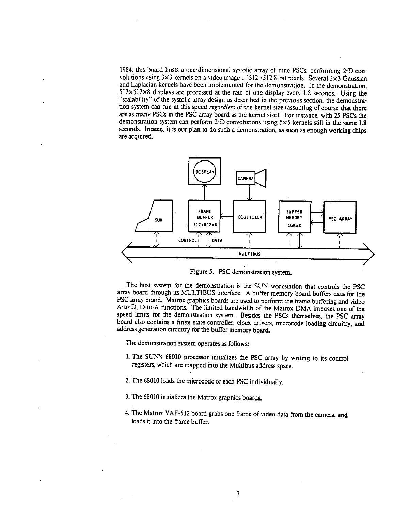1984, this board hosts a onc-dimcnsional systolic, array of nine PSCs, performing 2-D convolutions using  $3\times3$  kernels on a video image of  $512\times512$  8-bit pixels. Several  $3\times3$  Gaussian and Laplacian kernels have been implemented for the demonstration. In the demonstration, 512x512x8 displays arc processed at the rate of one display every 1.8 seconds. Using the "scalability" of the systolic array design as described in the previous section, the demonstration system can run at this speed *regardless* of the kernel size (assuming of course that there are as many PSCs in the PSC array board as the kernel size). For instance, with 25 PSCs the demonstration system can perform 2-D convolutions using 5x5 kernels still in the same 1.8 seconds. Indeed, it is our plan to do such a demonstration, as soon as enough working chips are acquired.



Figure 5. PSC demonstration system.

The host system for the demonstration is the SUN workstation that controls the PSC array board through its MULTIBUS interface. A huffer memory board buffers data for the PSC array board. Matrox graphics boards are used to perform the frame buffering and video A-to-D, D-to-A functions. The limited bandwidth of the Matrox DMA imposes one of the speed limits for the demonstration system. Besides the PSCs themselves, the PSC array board also contains a finite state controller, clock drivers, microcode loading circuitry, and address generation circuitry for the buffer memory board.

The demonstration system operates as follows:

- 1. The SUN's 68010 processor initializes the PSC array by writing to its control registers, which are mapped into the Multibus address space.
- 2. The 68010 loads the microcode of each PSC individually.
- 3. The 68010 initializes the Matrox graphics boards.
- 4. The Matrox VAF-512 board grabs one frame of video data from the camera, and loads it into the frame buffer.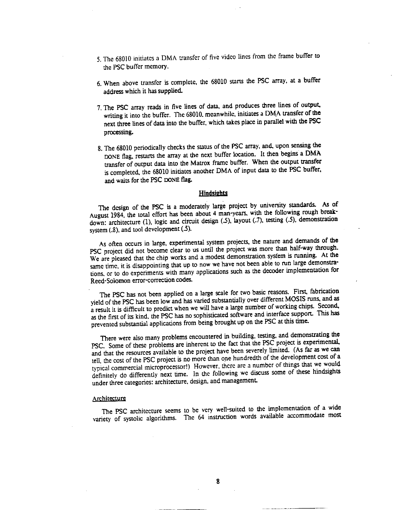- **5.** The 68010 initiates a DMA transfer of five video lines from the frame buffer to the PSC buffer memory.
- 6. When above transfer is complete, the 68010 starts the PSC array, at a buffer address which it has supplied.
- 7. The PSC array reads in five lines of data, and produces three lines of output, writing it into the buffer. The 68010, meanwhile, initiates a DMA transfer of the next three lines of data into the buffer, which takes place in parallel with the PSC processing.
- 8. The 68010 periodically checks the status of the PSC array, and, upon sensing the **DONE** flag, restarts the array at the next buffer location. It then begins a DMA transfer of output data into the Matrox frame buffer. When the output transfer is completed, the 68010 initiates another DMA of input data to the PSC buffer, and waits for the PSC **DONE** flag.

## **Hindsights**

The design of the PSC is a moderately large project by university standards. As of August 1984, the total effort has been about 4 man-years, with the following rough breakdown: architecture (1), logic and circuit design (.5), layout (.7), testing (.5), demonstration system (.8), and tool development (.5).

As often occurs in large, experimental system projects, the nature and demands of the PSC project did not become clear to us until the project was more than half-way through. We are pleased that the chip works and a modest demonstration system is running. At the same time, it is disappointing that up to now we have not been able to run large demonstrations, or to do experiments with many applications such as the decoder implementation for Reed-Solomon error-correction codes.

The PSC has not been applied on a large scale for two basic reasons. First, fabrication yield of the PSC has been low and has varied substantially over different MOSIS runs, and as a result it is difficult to predict when we will have a large number of working chips. Second, as the first of its kind, the PSC has no sophisticated software and interface support. This has prevented substantial applications from being brought up on the PSC at this time.

There were also many problems encountered in building, testing, and demonstrating the PSC. Some of these problems are inherent to the fact that the PSC project is experimental, and that the resources available to the project have been severely limited. (As far as we can tell, the cost of the PSC project is no more than one hundredth of the development cost of a typical commercial microprocessor!) However, there are a number of things that we would definitely do differently next time. In the following we discuss some of these hindsights under three categories: architecture, design, and management

#### **Architecture**

The PSC architecture seems to be very well-suited to the implementation of a wide variety of systolic algorithms. The 64 instruction words available accommodate most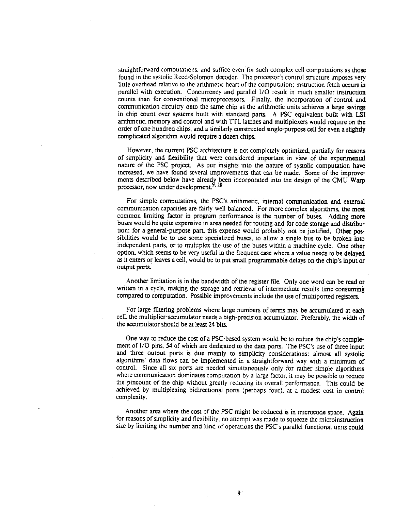straightforward computations, and suffice even for such complex cell computations as those found in the systolic Rccd-Solomon decoder. *The* processor's control structure imposes very little overhead relative to the arithmetic heart of the computation; instruction fetch occurs in parallel with execution. Concurrency and parallel I/O result in much smaller instruction counts than for conventional microprocessors. Finally, the incorporation of control and communication circuitry onto the same chip as the arithmetic units achieves a large savings in chip count over systems built with standard parts. A PSC equivalent built with LSI arithmetic, memory and control and with 'ITL latches and multiplexers would require on the order of one hundred chips, and a similarly constructed single-purpose cell for even a slightly complicated algorithm would require a dozen chips.

However, the current PSC architecture is not completely optimized, partially for reasons of simplicity and flexibility that were considered important in view of the experimental nature of the PSC project. As our insights into the nature of systolic computation have increased, we have found several improvements that can be made. Some of the improvements described below have already been incorporated into the design of the CMU Warp processor, now under development.<sup>9, 10</sup>

For simple computations, the PSC's arithmetic, internal communication and external communication capacities are fairly well balanced. For more complex algorithms, the most common limiting factor in program performance is the number of buses. Adding more buses would be quite expensive in area needed for routing and for code storage and distribution; for a general-purpose part, this expense would probably not be justified. Other possibilities would be to use some specialized buses, to allow a single bus to be broken into independent parts, or to multiplex the use of the buses within a machine cycle. One other option, which seems to be very useful in the frequent case where a value needs to be delayed as it enters or leaves a cell, would be to put small programmable delays on the chip's input or output ports.

Another limitation is in the bandwidth of the register file. Only one word can be read or written in a cycle, making the storage and retrieval of intermediate results time-consuming compared to computation. Possible improvements include the use of multiported registers.

For large filtering problems where large numbers of terms may be accumulated at each cell, the multiplier-accumulator needs a high-precision accumulator. Preferably, the width of the accumulator should be at least 24 bits.

One way to reduce the cost of a PSC-based system would be to reduce the chip's complement of I/O pins, 54 of which are dedicated to the data ports. The PSC's use of three input and three output ports is due mainly to simplicity considerations: almost all systolic algorithms' data flows can be implemented in a straightforward way with a minimum of control. Since all six ports are needed simultaneously only for rather simple algorithms where communication dominates computation by a large factor, it may be possible to reduce the pincount of the chip without greatly reducing its overall performance. This could be achieved by multiplexing bidirectional ports (perhaps four), at a modest cost in control complexity.

Another area where the cost of the PSC might be reduced is in microcode space. Again for reasons of simplicity and flexibility, no attempt was made to squeeze the microinstruction size by limiting the number and kind of operations the PSC's parallel functional units could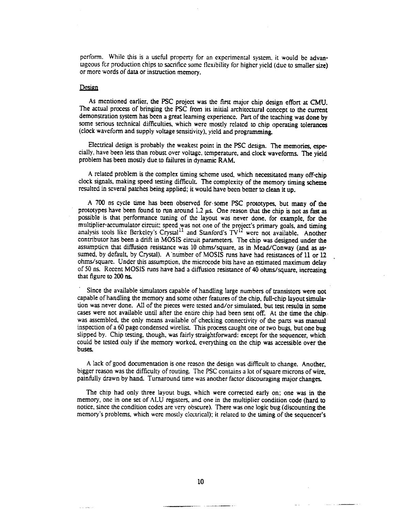perform. While this is a useful property for an experimental system, it would be advantageous fcr production chips to sacrifice some flexibility for higher yield (due to smaller size) or more words of data or instruction memory.

#### **Design**

As mentioned earlier, the PSC project was the first major chip design effort at CMU. The actual process of bringing the PSC from its initial architectural concept to the current demonstration system has been a great learning experience. Part of the teaching was done by some serious technical difficulties, which were mostly related to chip operating tolerances (clock waveform and supply voltage sensitivity), yield and programming.

Electrical design is probably the weakest point in the PSC design. The memories, especially, have been less than robust over voltage, temperature, and clock waveforms. The yield problem has been mostly due. to failures in dynamic RAM.

A related problem is the complex timing scheme used, which necessitated many off-chip clock signals, making speed testing difficult. The complexity of the memory timing scheme resulted in several patches being applied; it would have been better to clean it up.

A 700 ns cycle time has been observed for-some PSC prototypes, but many of the prototypes have been found to run around 1.2  $\mu$ s. One reason that the chip is not as fast as possible is that performance tuning of the layout was never done, for example, for the multiplier-accumulator circuit; speed was not one of the project's primary goals, and timing analysis tools like Berkeley's Crystal<sup>11</sup> and Stanford's  $TV<sup>12</sup>$  were not available. Another contributor has been a drift in MOSIS circuit parameters. The chip was designed under the assumption that diffusion resistance was 10 ohms/square, as in Mead/Conway (and as assumed, by default, by Crystal). A number of MOSIS runs have had resistances of 11 or 12 ohms/square. Under this assumption, the microcode bits have an estimated maximum delay of 50 ns. Recent MOSIS runs have had a diffusion resistance of 40 ohms/square, increasing that figure to 200 ns.

Since the available simulators capable of handling large numbers of transistors were not capable of handling the memory and some other features of the chip, full-chip layout simulation was never done. All of the pieces were tested and/or simulated, but test results in some cases were not available until after the entire chip had been sent off. At the time the chip, was assembled, the only means available of checking connectivity of the parts was manual inspection of a 60 page condensed wirelisL This process caught one or two bugs, but one bug slipped by. Chip testing, though, was fairly straightforward: except for the sequencer, which could be tested only if the memory worked, everything on the chip was accessible over the buses.

A lack of good documentation is one reason the design was difficult to change. Another, bigger reason was the difficulty of routing. The PSC contains a lot of square microns of wire, painfully drawn by hand. Turnaround time was another factor discouraging major changes.

The chip had only three layout bugs, which were corrected early on; one was in the memory, one in one set of ALU registers, and one in the multiplier condition code (hard to notice, since the condition codes are very obscure). There was one logic bug (discounting the memory's problems, which were mostly electrical); it related to the timing of the sequencer's

10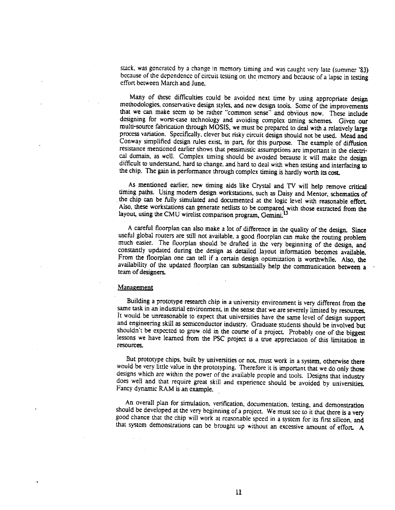stack, was generated by a change in memory timing and was caught very late (summer '83) because of the dependence of circuit testing on the memory and because of a lapse in testing effort between March and June.

Many of these difficulties could be avoided next time by using appropriate design methodologies, conservative design styles, and new design tools. Some of the improvements that we can make seem to be rather "common sense" and obvious now. These include designing for worst-case technology and avoiding complex timing schemes. Given our multi-source fabrication through MOSIS, we must be prepared to deal with a relatively large process variation. Specifically, clever but risky circuit design should not be used. Mead and Conway simplified design rules exist, in part, for this purpose. The example of diffusion resistance mentioned earlier shows that pessimistic assumptions are important in the electrical domain, as well. Complex timing should be avoided because it will make the design difficult to understand, hard to change, and hard to deal with when testing and interfacing to the chip. The gain in performance through complex timing is hardly worth its cost

As mentioned earlier, new timing aids like Crystal and TV will help remove critical timing paths. Using modern design workstations, such as Daisy and Mentor, schematics of . the chip can be fully simulated and documented at the logic level with reasonable effort Also, these workstations can generate netlists to be compared with those extracted from the layout, using the CMU wirelist comparison program, Gemini.<sup>13</sup>

A careful floorplan can also make a lot of difference in the quality of the design. Since useful global routers are still not available, a good floorplan can make the routing problem much easier. The floorplan should be drafted in the very beginning of the design, and constantly updated during the design as detailed layout information becomes available. From the floorplan one can tell if a certain design optimization is worthwhile. Also, the availability of the updated floorplan can substantially help the communication between a team of designers.

#### **Management**

Building a prototype research chip in a university environment is very different from the same task in an industrial environment, in the sense that we are severely limited by resources. It would be unreasonable to expect that universities have the same level of design support and engineering skill as semiconductor industry. Graduate students should be involved but shouldn't be expected to grow old in the course of a project Probably one of the biggest lessons we have learned from the PSC project is a true appreciation of this limitation in resources.

But prototype chips, built by universities or not must work in a system, otherwise there would be very little value in the prototyping. Therefore it is important that we do only those designs which are within the power of the available people and tools. Designs that industry does well and that require great skill and experience should be avoided by universities. Fancy dynamic RAM is an example.

An overall plan for simulation, verification, documentation, testing, and demonstration should be developed at the very beginning of a project. We must sec to it that there is a very good chance that the chip will work at reasonable speed in a system for its first silicon, and that system demonstrations can be brought up without an excessive amount of effort A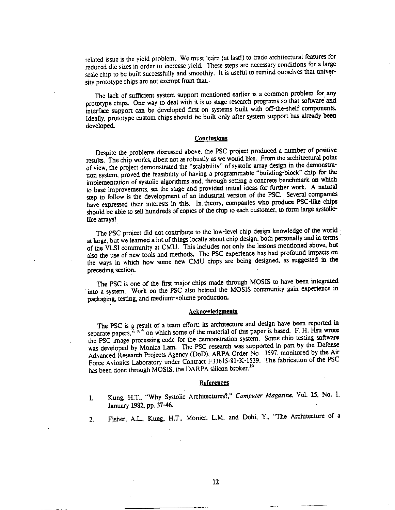related issue is the yield problem. We must learn (at last!) to trade architectural features for reduced die sizes in order to increase yield. These steps are necessary conditions for a large scale chip to be built successfully and smoothly. It is useful to remind ourselves that university prototype chips are not exempt from that.

The lack of sufficient system support mentioned earlier is a common problem for any prototype chips. One way to deal with it is to stage research programs so that software and interface support can be developed first on systems built with off-the-shelf components. Ideally, prototype custom chips should be built only after system support has already been developed.

#### **Conclusions**

Despite the problems discussed above, the PSC project produced a number of positive results. The chip works, albeit not as robustly as we would like. From the architectural point of view, the project demonstrated the "scalability" of systolic array design in the demonstration system, proved the feasibility of having a programmable "building-block" chip for the implementation of systolic algorithms and, through setting a concrete benchmark on which to base improvements, set the stage and provided initial ideas for further work. A natural step to follow is the development of an industrial version of the PSC. Several companies have expressed their interests in this. In. theory, companies who produce PSC-like chips should be able to sell hundreds of copies of the chip to each customer, to form large systoliclike arrays!

The PSC project did not contribute to the low-level chip design knowledge of the world at large, but we learned a lot of things locally about chip design, both personally and in terms of the VLSI community at CMU. This includes not only the lessons mentioned above, but also the use of new tools and methods. The PSC experience has had profound impacts on the ways in which how some new CMU chips are being designed, as suggested in the preceding section.

The PSC is one of the first major chips made through MOSIS to have been integrated into a system. Work on the PSC also helped the MOSIS community gain experience in packaging, testing, and medium-volume production.

### Acknowledgments

The PSC is a result of a team effort; its architecture and design have been reported in separate papers,  $2^{3.4}$  on which some of the material of this paper is based. F. H. Hsu wrote the PSC image processing code for the demonstration system. Some chip testing software was developed by Monica Lam. The PSC research was supported in part by the Defense Advanced Research Projects Agency (DoD), ARPA Order No. 3597, monitored by the Air Force Avionics Laboratory under Contract F33615-81-K-1539. The fabrication of the PSC has been donc through MOSIS, the DARPA silicon broker.<sup>14</sup>

#### **References**

- 1. Kung, H.T., "Why Systolic Architectures?," *Computer Magazine.* Vol. 15, No. 1, January 1982, pp. 37-46.
- 2. Fisher, A.L., Kung, H.T., Monier, L.M. and Dohi, Y., "The Architecture of a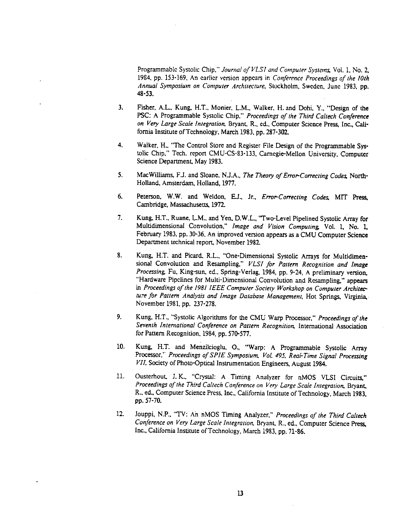Programmable Systolic Chip," *Journal of VLSI and Computer Systems,* Vol. 1, No. 2, 1984, pp. 153-169, An earlier version appears in *Conference Proceedings of the 10th Annual Symposium on Computer Architecture,* Stockholm, Sweden, June 1983, pp. 48-53.

- 3. Fisher, A.L., Kung, H.T., Monier, L.M., Walker, H. and Dohi, Y., "Design of the PSC: A Programmable Systolic Chip/' *Proceedings of the Third Caltech Conference on Very Large Scale Integration,* Bryant, R., ed., Computer Science Press, Inc., California Institute of Technology, March 1983, pp. 287-302.
- 4. Walker, H., "The Control Store and Register File Design of the Programmable Systolic Chip," Tech. report CMU-CS-83-133, Carnegie-Mellon University, Computer Science Department, May 1983.
- 5. Mac Williams, F.J. and Sloane, N.J.A., *The Theory of Error-Correcting Codes,* North-Holland, Amsterdam, Holland, 1977.
- 6. Peterson, W.W. and Weldon, E.J., Jr., *Error-Correcting Codes,* MIT Press, Cambridge, Massachusetts, 1972.
- 7. Kung, H.T., Ruane, L.M., and Yen, D.W.L, 'Two-Level Pipelined Systolic Array for Multidimensional Convolution," *Image and Vision Computing,* Vol. 1, No. 1, February 1983, pp. 30-36, An improved version appears as a CMU Computer Science Department technical report, November 1982.
- 8. Kung, H.T. and Picard, R.L., "One-Dimensional Systolic Arrays for Multidimensional Convolution and Resampling," *VLSI for Pattern Recognition and Image Processing,* Fu, King-sun, ed., Spring-Verlag, 1984, pp. 9-24, A preliminary version, "Hardware Pipelines for Multi-Dimensional Convolution and Resampling," appears in *Proceedings of the 1981 IEEE Computer Society Workshop on Computer Architecture for Pattern Analysis and Image Database Management,* Hot Springs, Virginia, November 1981, pp. 237-278.
- 9. Kung, H.T., "Systolic Algorithms for the CMU Warp Processor," *Proceedings of the Seventh International Conference on Pattern Recognition,* International Association for Pattern Recognition, 1984, pp. 570-577.
- 10. Kung, H.T. and Menzilcioglu, O., "Warp: A Programmable Systolic Array Processor," *Proceedings of SPIE Symposium, Vol 495, Real-Time Signal Processing VII,* Society of Photo-Optical Instrumentation Engineers, August 1984.
- 11. Ousterhout, J. K., "Crystal: A Timing Analyzer for nMOS VLSI Circuits," *Proceedings of the Third Caltech Conference on Very Large Scale Integration,* Bryant, R., ed., Computer Science Press, Inc., California Institute of Technology, March 1983, pp. 57-70.
- 12. Jouppi, N.P., "TV: Ah nMOS Timing Analyzer," *Proceedings of the Third Caltech Conference on Very Large Scale Integration,* Bryant, R., ed., Computer Science Press, Inc., California Institute of Technology, March 1983, pp. 71-86.